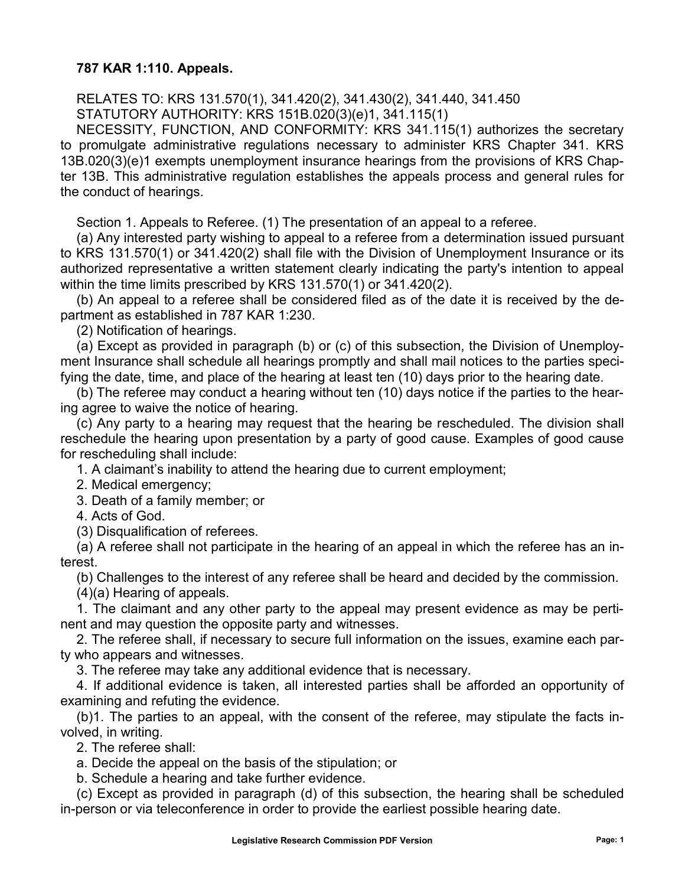## **787 KAR 1:110. Appeals.**

RELATES TO: KRS 131.570(1), 341.420(2), 341.430(2), 341.440, 341.450 STATUTORY AUTHORITY: KRS 151B.020(3)(e)1, 341.115(1)

NECESSITY, FUNCTION, AND CONFORMITY: KRS 341.115(1) authorizes the secretary to promulgate administrative regulations necessary to administer KRS Chapter 341. KRS 13B.020(3)(e)1 exempts unemployment insurance hearings from the provisions of KRS Chapter 13B. This administrative regulation establishes the appeals process and general rules for the conduct of hearings.

Section 1. Appeals to Referee. (1) The presentation of an appeal to a referee.

(a) Any interested party wishing to appeal to a referee from a determination issued pursuant to KRS 131.570(1) or 341.420(2) shall file with the Division of Unemployment Insurance or its authorized representative a written statement clearly indicating the party's intention to appeal within the time limits prescribed by KRS 131.570(1) or 341.420(2).

(b) An appeal to a referee shall be considered filed as of the date it is received by the department as established in 787 KAR 1:230.

(2) Notification of hearings.

(a) Except as provided in paragraph (b) or (c) of this subsection, the Division of Unemployment Insurance shall schedule all hearings promptly and shall mail notices to the parties specifying the date, time, and place of the hearing at least ten (10) days prior to the hearing date.

(b) The referee may conduct a hearing without ten (10) days notice if the parties to the hearing agree to waive the notice of hearing.

(c) Any party to a hearing may request that the hearing be rescheduled. The division shall reschedule the hearing upon presentation by a party of good cause. Examples of good cause for rescheduling shall include:

1. A claimant's inability to attend the hearing due to current employment;

2. Medical emergency;

3. Death of a family member; or

4. Acts of God.

(3) Disqualification of referees.

(a) A referee shall not participate in the hearing of an appeal in which the referee has an interest.

(b) Challenges to the interest of any referee shall be heard and decided by the commission.

(4)(a) Hearing of appeals.

1. The claimant and any other party to the appeal may present evidence as may be pertinent and may question the opposite party and witnesses.

2. The referee shall, if necessary to secure full information on the issues, examine each party who appears and witnesses.

3. The referee may take any additional evidence that is necessary.

4. If additional evidence is taken, all interested parties shall be afforded an opportunity of examining and refuting the evidence.

(b)1. The parties to an appeal, with the consent of the referee, may stipulate the facts involved, in writing.

2. The referee shall:

a. Decide the appeal on the basis of the stipulation; or

b. Schedule a hearing and take further evidence.

(c) Except as provided in paragraph (d) of this subsection, the hearing shall be scheduled in-person or via teleconference in order to provide the earliest possible hearing date.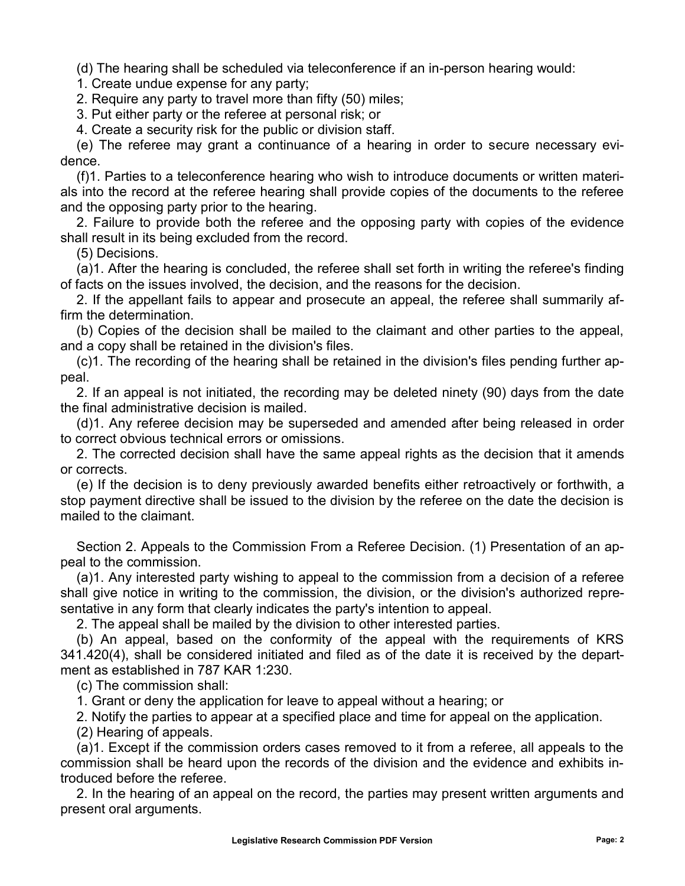(d) The hearing shall be scheduled via teleconference if an in-person hearing would:

1. Create undue expense for any party;

2. Require any party to travel more than fifty (50) miles;

3. Put either party or the referee at personal risk; or

4. Create a security risk for the public or division staff.

(e) The referee may grant a continuance of a hearing in order to secure necessary evidence.

(f)1. Parties to a teleconference hearing who wish to introduce documents or written materials into the record at the referee hearing shall provide copies of the documents to the referee and the opposing party prior to the hearing.

2. Failure to provide both the referee and the opposing party with copies of the evidence shall result in its being excluded from the record.

(5) Decisions.

(a)1. After the hearing is concluded, the referee shall set forth in writing the referee's finding of facts on the issues involved, the decision, and the reasons for the decision.

2. If the appellant fails to appear and prosecute an appeal, the referee shall summarily affirm the determination.

(b) Copies of the decision shall be mailed to the claimant and other parties to the appeal, and a copy shall be retained in the division's files.

(c)1. The recording of the hearing shall be retained in the division's files pending further appeal.

2. If an appeal is not initiated, the recording may be deleted ninety (90) days from the date the final administrative decision is mailed.

(d)1. Any referee decision may be superseded and amended after being released in order to correct obvious technical errors or omissions.

2. The corrected decision shall have the same appeal rights as the decision that it amends or corrects.

(e) If the decision is to deny previously awarded benefits either retroactively or forthwith, a stop payment directive shall be issued to the division by the referee on the date the decision is mailed to the claimant.

Section 2. Appeals to the Commission From a Referee Decision. (1) Presentation of an appeal to the commission.

(a)1. Any interested party wishing to appeal to the commission from a decision of a referee shall give notice in writing to the commission, the division, or the division's authorized representative in any form that clearly indicates the party's intention to appeal.

2. The appeal shall be mailed by the division to other interested parties.

(b) An appeal, based on the conformity of the appeal with the requirements of KRS 341.420(4), shall be considered initiated and filed as of the date it is received by the department as established in 787 KAR 1:230.

(c) The commission shall:

1. Grant or deny the application for leave to appeal without a hearing; or

2. Notify the parties to appear at a specified place and time for appeal on the application.

(2) Hearing of appeals.

(a)1. Except if the commission orders cases removed to it from a referee, all appeals to the commission shall be heard upon the records of the division and the evidence and exhibits introduced before the referee.

2. In the hearing of an appeal on the record, the parties may present written arguments and present oral arguments.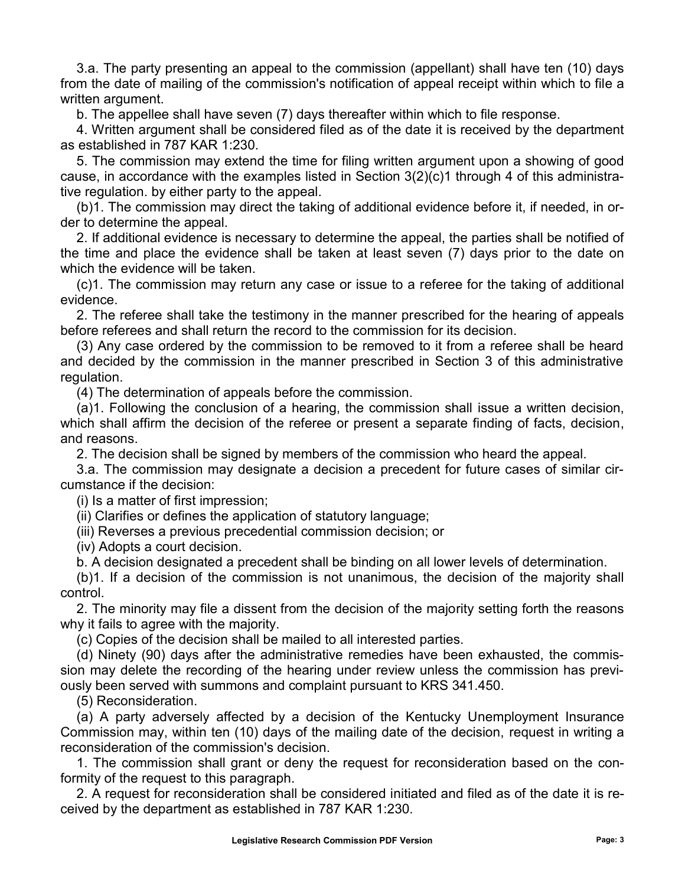3.a. The party presenting an appeal to the commission (appellant) shall have ten (10) days from the date of mailing of the commission's notification of appeal receipt within which to file a written argument.

b. The appellee shall have seven (7) days thereafter within which to file response.

4. Written argument shall be considered filed as of the date it is received by the department as established in 787 KAR 1:230.

5. The commission may extend the time for filing written argument upon a showing of good cause, in accordance with the examples listed in Section 3(2)(c)1 through 4 of this administrative regulation. by either party to the appeal.

(b)1. The commission may direct the taking of additional evidence before it, if needed, in order to determine the appeal.

2. If additional evidence is necessary to determine the appeal, the parties shall be notified of the time and place the evidence shall be taken at least seven (7) days prior to the date on which the evidence will be taken.

(c)1. The commission may return any case or issue to a referee for the taking of additional evidence.

2. The referee shall take the testimony in the manner prescribed for the hearing of appeals before referees and shall return the record to the commission for its decision.

(3) Any case ordered by the commission to be removed to it from a referee shall be heard and decided by the commission in the manner prescribed in Section 3 of this administrative regulation.

(4) The determination of appeals before the commission.

(a)1. Following the conclusion of a hearing, the commission shall issue a written decision, which shall affirm the decision of the referee or present a separate finding of facts, decision, and reasons.

2. The decision shall be signed by members of the commission who heard the appeal.

3.a. The commission may designate a decision a precedent for future cases of similar circumstance if the decision:

(i) Is a matter of first impression;

(ii) Clarifies or defines the application of statutory language;

(iii) Reverses a previous precedential commission decision; or

(iv) Adopts a court decision.

b. A decision designated a precedent shall be binding on all lower levels of determination.

(b)1. If a decision of the commission is not unanimous, the decision of the majority shall control.

2. The minority may file a dissent from the decision of the majority setting forth the reasons why it fails to agree with the majority.

(c) Copies of the decision shall be mailed to all interested parties.

(d) Ninety (90) days after the administrative remedies have been exhausted, the commission may delete the recording of the hearing under review unless the commission has previously been served with summons and complaint pursuant to KRS 341.450.

(5) Reconsideration.

(a) A party adversely affected by a decision of the Kentucky Unemployment Insurance Commission may, within ten (10) days of the mailing date of the decision, request in writing a reconsideration of the commission's decision.

1. The commission shall grant or deny the request for reconsideration based on the conformity of the request to this paragraph.

2. A request for reconsideration shall be considered initiated and filed as of the date it is received by the department as established in 787 KAR 1:230.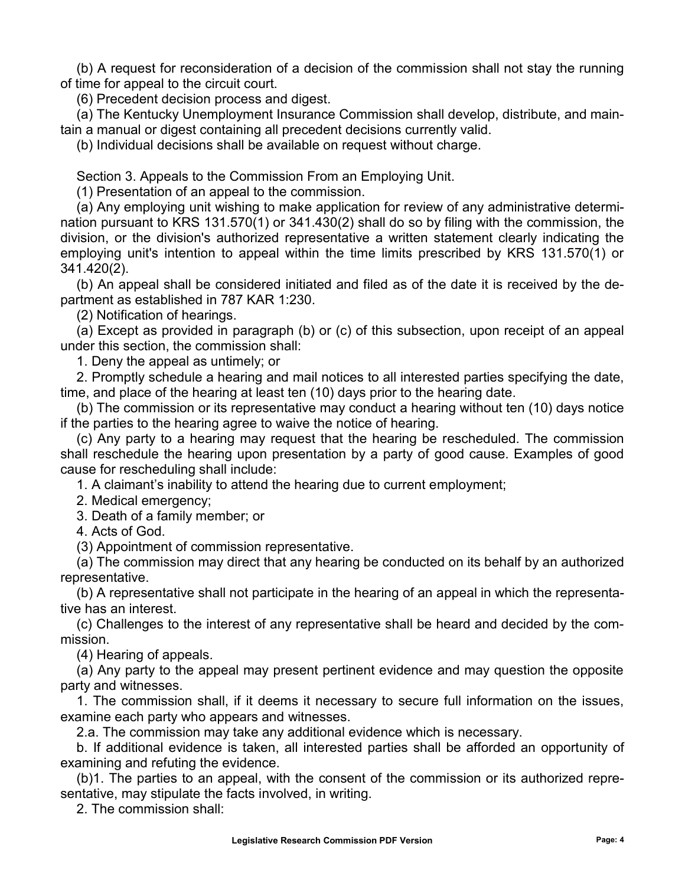(b) A request for reconsideration of a decision of the commission shall not stay the running of time for appeal to the circuit court.

(6) Precedent decision process and digest.

(a) The Kentucky Unemployment Insurance Commission shall develop, distribute, and maintain a manual or digest containing all precedent decisions currently valid.

(b) Individual decisions shall be available on request without charge.

Section 3. Appeals to the Commission From an Employing Unit.

(1) Presentation of an appeal to the commission.

(a) Any employing unit wishing to make application for review of any administrative determination pursuant to KRS 131.570(1) or 341.430(2) shall do so by filing with the commission, the division, or the division's authorized representative a written statement clearly indicating the employing unit's intention to appeal within the time limits prescribed by KRS 131.570(1) or 341.420(2).

(b) An appeal shall be considered initiated and filed as of the date it is received by the department as established in 787 KAR 1:230.

(2) Notification of hearings.

(a) Except as provided in paragraph (b) or (c) of this subsection, upon receipt of an appeal under this section, the commission shall:

1. Deny the appeal as untimely; or

2. Promptly schedule a hearing and mail notices to all interested parties specifying the date, time, and place of the hearing at least ten (10) days prior to the hearing date.

(b) The commission or its representative may conduct a hearing without ten (10) days notice if the parties to the hearing agree to waive the notice of hearing.

(c) Any party to a hearing may request that the hearing be rescheduled. The commission shall reschedule the hearing upon presentation by a party of good cause. Examples of good cause for rescheduling shall include:

1. A claimant's inability to attend the hearing due to current employment;

2. Medical emergency;

3. Death of a family member; or

4. Acts of God.

(3) Appointment of commission representative.

(a) The commission may direct that any hearing be conducted on its behalf by an authorized representative.

(b) A representative shall not participate in the hearing of an appeal in which the representative has an interest.

(c) Challenges to the interest of any representative shall be heard and decided by the commission.

(4) Hearing of appeals.

(a) Any party to the appeal may present pertinent evidence and may question the opposite party and witnesses.

1. The commission shall, if it deems it necessary to secure full information on the issues, examine each party who appears and witnesses.

2.a. The commission may take any additional evidence which is necessary.

b. If additional evidence is taken, all interested parties shall be afforded an opportunity of examining and refuting the evidence.

(b)1. The parties to an appeal, with the consent of the commission or its authorized representative, may stipulate the facts involved, in writing.

2. The commission shall: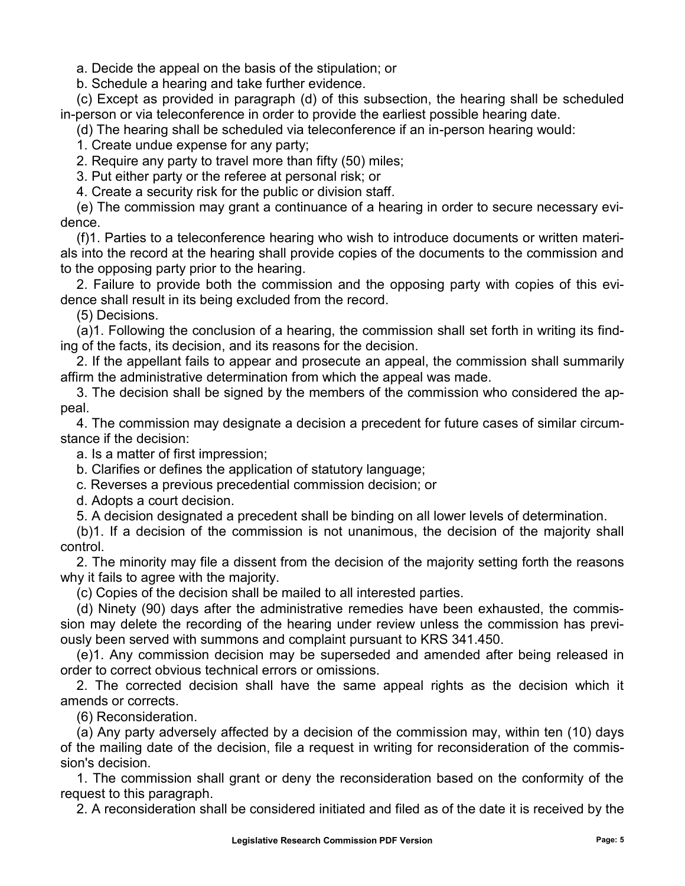a. Decide the appeal on the basis of the stipulation; or

b. Schedule a hearing and take further evidence.

(c) Except as provided in paragraph (d) of this subsection, the hearing shall be scheduled in-person or via teleconference in order to provide the earliest possible hearing date.

(d) The hearing shall be scheduled via teleconference if an in-person hearing would:

1. Create undue expense for any party;

2. Require any party to travel more than fifty (50) miles;

3. Put either party or the referee at personal risk; or

4. Create a security risk for the public or division staff.

(e) The commission may grant a continuance of a hearing in order to secure necessary evidence.

(f)1. Parties to a teleconference hearing who wish to introduce documents or written materials into the record at the hearing shall provide copies of the documents to the commission and to the opposing party prior to the hearing.

2. Failure to provide both the commission and the opposing party with copies of this evidence shall result in its being excluded from the record.

(5) Decisions.

(a)1. Following the conclusion of a hearing, the commission shall set forth in writing its finding of the facts, its decision, and its reasons for the decision.

2. If the appellant fails to appear and prosecute an appeal, the commission shall summarily affirm the administrative determination from which the appeal was made.

3. The decision shall be signed by the members of the commission who considered the appeal.

4. The commission may designate a decision a precedent for future cases of similar circumstance if the decision:

a. Is a matter of first impression;

b. Clarifies or defines the application of statutory language;

c. Reverses a previous precedential commission decision; or

d. Adopts a court decision.

5. A decision designated a precedent shall be binding on all lower levels of determination.

(b)1. If a decision of the commission is not unanimous, the decision of the majority shall control.

2. The minority may file a dissent from the decision of the majority setting forth the reasons why it fails to agree with the majority.

(c) Copies of the decision shall be mailed to all interested parties.

(d) Ninety (90) days after the administrative remedies have been exhausted, the commission may delete the recording of the hearing under review unless the commission has previously been served with summons and complaint pursuant to KRS 341.450.

(e)1. Any commission decision may be superseded and amended after being released in order to correct obvious technical errors or omissions.

2. The corrected decision shall have the same appeal rights as the decision which it amends or corrects.

(6) Reconsideration.

(a) Any party adversely affected by a decision of the commission may, within ten (10) days of the mailing date of the decision, file a request in writing for reconsideration of the commission's decision.

1. The commission shall grant or deny the reconsideration based on the conformity of the request to this paragraph.

2. A reconsideration shall be considered initiated and filed as of the date it is received by the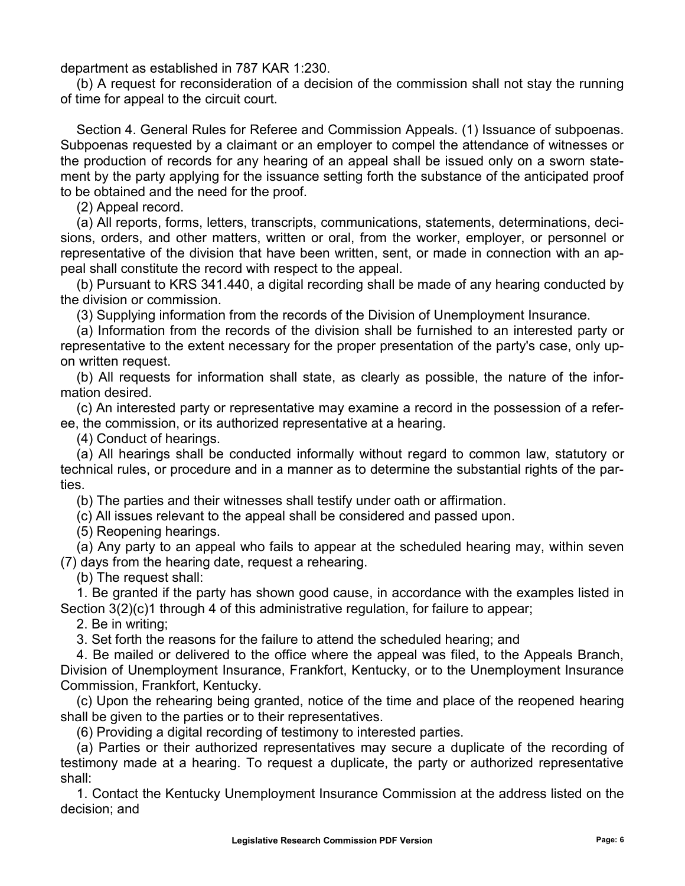department as established in 787 KAR 1:230.

(b) A request for reconsideration of a decision of the commission shall not stay the running of time for appeal to the circuit court.

Section 4. General Rules for Referee and Commission Appeals. (1) Issuance of subpoenas. Subpoenas requested by a claimant or an employer to compel the attendance of witnesses or the production of records for any hearing of an appeal shall be issued only on a sworn statement by the party applying for the issuance setting forth the substance of the anticipated proof to be obtained and the need for the proof.

(2) Appeal record.

(a) All reports, forms, letters, transcripts, communications, statements, determinations, decisions, orders, and other matters, written or oral, from the worker, employer, or personnel or representative of the division that have been written, sent, or made in connection with an appeal shall constitute the record with respect to the appeal.

(b) Pursuant to KRS 341.440, a digital recording shall be made of any hearing conducted by the division or commission.

(3) Supplying information from the records of the Division of Unemployment Insurance.

(a) Information from the records of the division shall be furnished to an interested party or representative to the extent necessary for the proper presentation of the party's case, only upon written request.

(b) All requests for information shall state, as clearly as possible, the nature of the information desired.

(c) An interested party or representative may examine a record in the possession of a referee, the commission, or its authorized representative at a hearing.

(4) Conduct of hearings.

(a) All hearings shall be conducted informally without regard to common law, statutory or technical rules, or procedure and in a manner as to determine the substantial rights of the parties.

(b) The parties and their witnesses shall testify under oath or affirmation.

(c) All issues relevant to the appeal shall be considered and passed upon.

(5) Reopening hearings.

(a) Any party to an appeal who fails to appear at the scheduled hearing may, within seven (7) days from the hearing date, request a rehearing.

(b) The request shall:

1. Be granted if the party has shown good cause, in accordance with the examples listed in Section 3(2)(c)1 through 4 of this administrative regulation, for failure to appear;

2. Be in writing;

3. Set forth the reasons for the failure to attend the scheduled hearing; and

4. Be mailed or delivered to the office where the appeal was filed, to the Appeals Branch, Division of Unemployment Insurance, Frankfort, Kentucky, or to the Unemployment Insurance Commission, Frankfort, Kentucky.

(c) Upon the rehearing being granted, notice of the time and place of the reopened hearing shall be given to the parties or to their representatives.

(6) Providing a digital recording of testimony to interested parties.

(a) Parties or their authorized representatives may secure a duplicate of the recording of testimony made at a hearing. To request a duplicate, the party or authorized representative shall:

1. Contact the Kentucky Unemployment Insurance Commission at the address listed on the decision; and